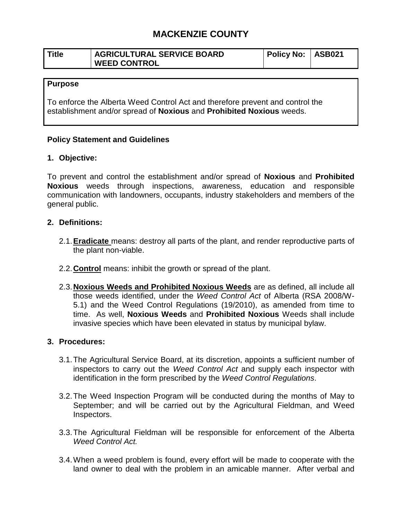# **MACKENZIE COUNTY**

| Title | <b>AGRICULTURAL SERVICE BOARD</b> | Policy No: ASB021 |  |
|-------|-----------------------------------|-------------------|--|
|       | <b>WEED CONTROL</b>               |                   |  |

### **Purpose**

To enforce the Alberta Weed Control Act and therefore prevent and control the establishment and/or spread of **Noxious** and **Prohibited Noxious** weeds.

## **Policy Statement and Guidelines**

## **1. Objective:**

To prevent and control the establishment and/or spread of **Noxious** and **Prohibited Noxious** weeds through inspections, awareness, education and responsible communication with landowners, occupants, industry stakeholders and members of the general public.

## **2. Definitions:**

- 2.1.**Eradicate** means: destroy all parts of the plant, and render reproductive parts of the plant non-viable.
- 2.2.**Control** means: inhibit the growth or spread of the plant.
- 2.3.**Noxious Weeds and Prohibited Noxious Weeds** are as defined, all include all those weeds identified, under the *Weed Control Act* of Alberta (RSA 2008/W-5.1) and the Weed Control Regulations (19/2010), as amended from time to time. As well, **Noxious Weeds** and **Prohibited Noxious** Weeds shall include invasive species which have been elevated in status by municipal bylaw.

## **3. Procedures:**

- 3.1.The Agricultural Service Board, at its discretion, appoints a sufficient number of inspectors to carry out the *Weed Control Act* and supply each inspector with identification in the form prescribed by the *Weed Control Regulations*.
- 3.2.The Weed Inspection Program will be conducted during the months of May to September; and will be carried out by the Agricultural Fieldman, and Weed Inspectors.
- 3.3.The Agricultural Fieldman will be responsible for enforcement of the Alberta *Weed Control Act.*
- 3.4.When a weed problem is found, every effort will be made to cooperate with the land owner to deal with the problem in an amicable manner. After verbal and